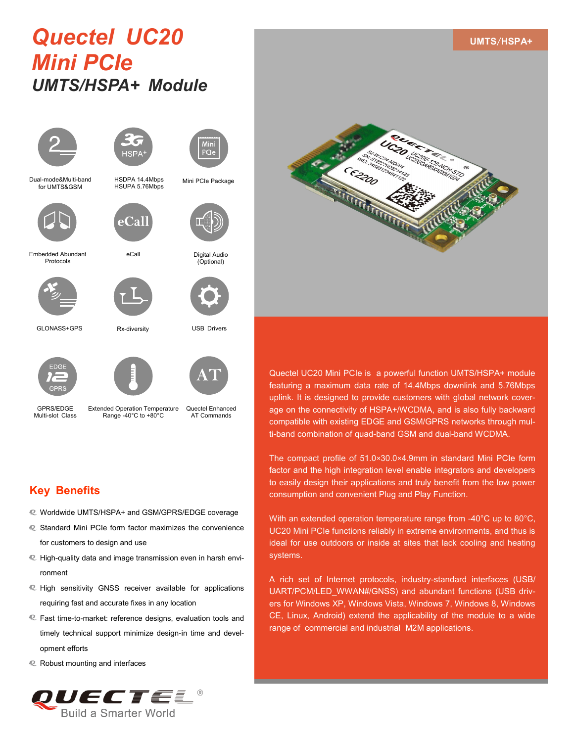# *Quectel UC20 Mini PCIe UMTS/HSPA+ Module*





HSDPA 14.4Mbps HSUPA 5.76Mbps

Dual-mode&Multi-band for UMTS&GSM



:Cal

eCall

Rx-diversity

Embedded Abundant Protocols





GLONASS+GPS



GPRS/EDGE Multi-slot Class Extended Operation Temperature Range -40°C to +80°C



Quectel Enhanced AT Commands

USB Drivers

Digital Audio (Optional)

Mini PCIe Package

## **Key Benefits**

- Worldwide UMTS/HSPA+ and GSM/GPRS/EDGE coverage
- Standard Mini PCIe form factor maximizes the convenience for customers to design and use
- High-quality data and image transmission even in harsh environment
- High sensitivity GNSS receiver available for applications requiring fast and accurate fixes in any location
- Fast time-to-market: reference designs, evaluation tools and timely technical support minimize design-in time and development efforts
- Robust mounting and interfaces





**UMTS**/**HSPA+**

Quectel UC20 Mini PCIe is a powerful function UMTS/HSPA+ module featuring a maximum data rate of 14.4Mbps downlink and 5.76Mbps uplink. It is designed to provide customers with global network coverage on the connectivity of HSPA+/WCDMA, and is also fully backward compatible with existing EDGE and GSM/GPRS networks through multi-band combination of quad-band GSM and dual-band WCDMA.

The compact profile of 51.0×30.0×4.9mm in standard Mini PCIe form factor and the high integration level enable integrators and developers to easily design their applications and truly benefit from the low power consumption and convenient Plug and Play Function.

With an extended operation temperature range from -40°C up to 80°C, UC20 Mini PCIe functions reliably in extreme environments, and thus is ideal for use outdoors or inside at sites that lack cooling and heating systems.

A rich set of Internet protocols, industry-standard interfaces (USB/ UART/PCM/LED\_WWAN#/GNSS) and abundant functions (USB drivers for Windows XP, Windows Vista, Windows 7, Windows 8, Windows CE, Linux, Android) extend the applicability of the module to a wide range of commercial and industrial M2M applications.